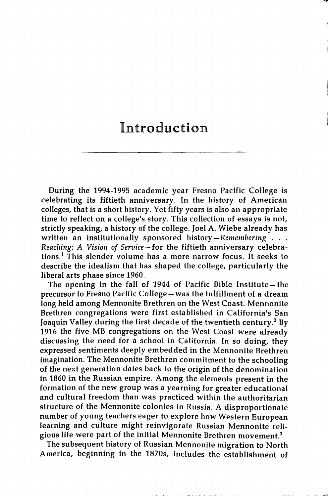## Introduction

During the 1994-1995 academic year Fresno Pacific College is celebrating its fiftieth anniversary. In the history of American colleges, that is a short history. Yet fifty years is also an appropriate time to reflect on a college's story. This collection of essays is not, strictly speaking, a history of the college. Joel A. Wiebe already has written an institutionally sponsored history-Remembering . . . *Reaching: A Vision of Service* - for the fiftieth anniversary celebrations.<sup>1</sup> This slender volume has a more narrow focus. It seeks to describe the idealism that has shaped the college, particularly the liberal arts phase since 1960.

The opening in the fall of 1944 of Pacific Bible Institute-the precursor to Fresno Pacific College - was the fulfillment of a dream long held among Mennonite Brethren on the West Coast. Mennonite Brethren congregations were first established in California's San Joaquin Valley during the first decade of the twentieth century.2 By 1916 the five MB congregations on the West Coast were already discussing the need for a school in California. In so doing, they expressed sentiments deeply embedded in the Mennonite Brethren imagination. The Mennonite Brethren commitment to the schooling of the next generation dates back to the origin of the denomination in 1860 in the Russian empire. Among the elements present in the formation of the new group was a yearning for greater educational and cultural freedom than was practiced within the authoritarian structure of the Mennonite colonies in Russia. A disproportionate number of young teachers eager to explore how Western European learning and culture might reinvigorate Russian Mennonite religious life were part of the initial Mennonite Brethren movement.3

The subsequent history of Russian Mennonite migration to North America, beginning in the 1870s, includes the establishment of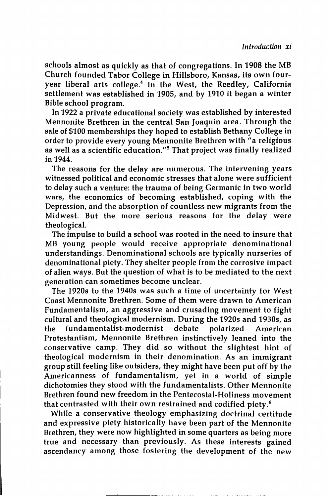schools almost as quickly as that of congregations. In 1908 the MB Church founded Tabor College in Hillsboro, Kansas, its own fouryear liberal arts college.<sup>4</sup> In the West, the Reedley, California settlement was established in 1905, and by 1910 it began a winter Bible school program.

In 1922 a private educational society was established by interested Mennonite Brethren in the central San Joaquin area. Through the sale of \$100 memberships they hoped to establish Bethany College in order to provide every young Mennonite Brethren with "a religious as well as a scientific education."s That project was finally realized in 1944.

The reasons for the delay are numerous. The intervening years witnessed political and economic stresses that alone were sufficient to delay such a venture: the trauma of being Germanic in two world wars, the economics of becoming established, coping with the Depression, and the absorption of countless new migrants from the Midwest. But the more serious reasons for the delay were theological.

The impulse to build a school was rooted in the need to insure that MB young people would receive appropriate denominational understandings. Denominational schools are typically nurseries of denominational piety. They shelter people from the corrosive impact of alien ways. But the question of what is to be mediated to the next generation can sometimes become unclear.

The 1920s to the 1940s was such a time of uncertainty for West Coast Mennonite Brethren. Some of them were drawn to American Fundamentalism, an aggressive and crusading movement to fight cultural and theological modernism. During the 1920s and 1930s, as the fundamentalist-modernist debate polarized American Protestantism, Mennonite Brethren instinctively leaned into the conservative camp. They did so without the slightest hint of theological modernism in their denomination. As an immigrant group still feeling like outsiders, they might have been put off by the Americanness of fundamentalism, yet in a world of simple dichotomies they stood with the fundamentalists. Other Mennonite Brethren found new freedom in the Pentecostal-Holiness movement that contrasted with their own restrained and codified piety.<sup>6</sup>

While a conservative theology emphasizing doctrinal certitude and expressive piety historically have been part of the Mennonite Brethren, they were now highlighted in some quarters as being more true and necessary than previously. As these interests gained ascendancy among those fostering the development of the new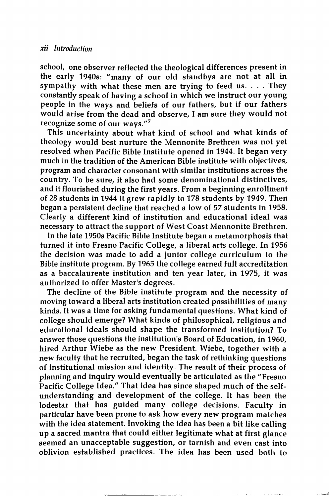school, one observer reflected the theological differences present in the early 1940s: "many of our old standbys are not at all in sympathy with what these men are trying to feed us.  $\ldots$  They constantly speak of having a school in which we instruct our young people in the ways and beliefs of our fathers, but if our fathers would arise from the dead and observe, I am sure they would not recognize some of our ways." $7$ 

This uncertainty about what kind of school and what kinds of theology would best nurture the Mennonite Brethren was not yet resolved when Pacific Bible Institute opened in 1944. It began very much in the tradition of the American Bible institute with objectives, program and character consonant with similar institutions across the country. To be sure, it also had some denominational distinctives, and it flourished during the first years. From a beginning enrollment of 28 students in 1944 it grew rapidly to 178 students by 1949. Then began a persistent decline that reached a low of 57 students in 1958. Clearly a different kind of institution and educational ideal was necessary to attract the support of West Coast Mennonite Brethren.

In the late 1950s Pacific Bible Institute began a metamorphosis that turned it into Fresno Pacific College, a liberal arts college. In 1956 the decision was made to add a junior college curriculum to the Bible institute program. By 1965 the college earned full accreditation as a baccalaureate institution and ten year later, in 1975, it was authorized to offer Master's degrees.

The decline of the Bible institute program and the necessity of moving toward a liberal arts institution created possibilities of many kinds. It was a time for asking fundamental questions. What kind of college should emerge? What kinds of philosophical, religious and educational ideals should shape the transformed institution? To answer those questions the institution's Board of Education, in 1960, hired Arthur Wiebe as the new President. Wiebe, together with a new faculty that he recruited, began the task of rethinking questions of institutional mission and identity. The result of their process of planning and inquiry would eventually be articulated as the "Fresno Pacific College Idea." That idea has since shaped much of the selfunderstanding and development of the college. It has been the lodestar that has guided many college decisions. Faculty in particular have been prone to ask how every new program matches with the idea statement. Invoking the idea has been a bit like calling up a sacred mantra that could either legitimate what at first glance seemed an unacceptable suggestion, or tarnish and even cast into oblivion established practices. The idea has been used both to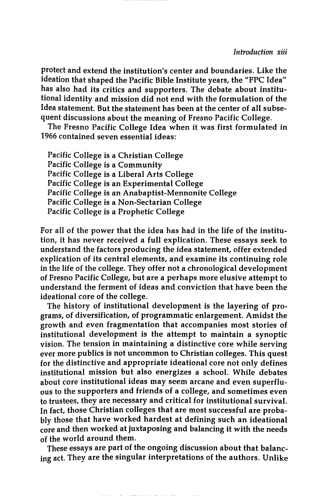protect and extend the institution's center and boundaries. Like the ideation that shaped the Pacific Bible Institute years, the "FPC Idea" has also had its critics and supporters. The debate about institutional identity and mission did not end with the formulation of the Idea statement. But the statement has been at the center of all subsequent discussions about the meaning of Fresno Pacific College.

The Fresno Pacific College Idea when it was first formulated in 1966 contained seven essential ideas:

Pacific College is a Christian College Pacific College is a Community Pacific College is a Liberal Arts College Pacific College is an Experimental College Pacific College is an Anabaptist-Mennonite College Pacific College is a Non-Sectarian College Pacific ColIege is a Prophetic College

For all of the power that the idea has had in the life of the institution, it has never received a full explication. These essays seek to understand the factors producing the idea statement, offer extended explication of its central elements, and examine its continuing role in the life of the college. They offer not a chronological development of Fresno Pacific College, but are a perhaps more elusive attempt to understand the ferment of ideas and conviction that have been the ideational core of the college.

The history of institutional development is the layering of programs, of diversification, of programmatic enlargement. Amidst the growth and even fragmentation that accompanies most stories of institutional development is the attempt to maintain a synoptic vision. The tension in maintaining a distinctive core while serving ever more publics is not uncommon to Christian colleges. This quest for the distinctive and appropriate ideational core not only defines institutional mission but also energizes a school. While debates about core institutional ideas may seem arcane and even superfluous to the supporters and friends of a college, and sometimes even to trustees, they are necessary and critical for institutional survival. In fact, those Christian colleges that are most successful are probab1y those that have worked hardest at defining such an ideational core and then worked at juxtaposing and balancing it with the needs of the world around them.

These essays are part of the ongoing discussion about that balancing act. They are the singular interpretations of the authors. Unlike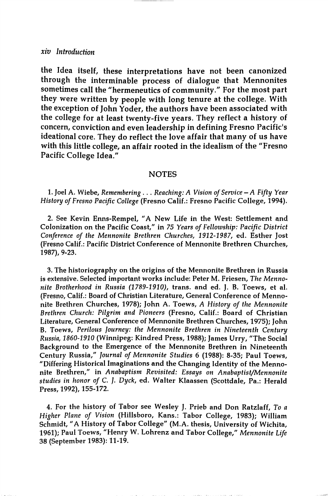## *xiv Illtroduction*

the Idea itself, these interpretations have not been canonized through the interminable process of dialogue that Mennonites sometimes call the "hermeneutics of community." For the most part they were written by people with long tenure at the college. With the exception of John Yoder, the authors have been associated with the college for at least twenty-five years. They reflect a history of concern, conviction and even leadership in defining Fresno Pacificis ideational core. They do reflect the love affair that many of us have with this little college, an affair rooted in the idealism of the "Fresno Pacific College Idea."

## NOTES

1. Joel A. Wiebe, *Remembering .* .. *Reaching: A Vision of Service* - *A Fifty Year History of Fresno Pacific College* (Fresno Calif.: Fresno Pacific College, 1994).

2. See Kevin Enns-Rempel, "A New Life in the West: Settlement and Colonization on the Pacific Coast," in 75 *Years of Fellows/lip: Pacific District Conference of tile Mennonite Brethren Churches,* 1912-1987, ed. Esther Jost (Fresno Calif.: Pacific District Conference of Mennonite Brethren Churches, 1987),9-23.

3. The historiography on the origins of the Mennonite Brethren in Russia Is extensive. Selected important works include: Peter M. Friesen, *Tile Mennonite Brotherhood in Russia (1789-1910),* trans. and ed. J. B. Toews, et a1. (Fresno, Calif.: Board of Christian Literature, General Conference of Mennonite Brethren Churches, 1978); John A. Toews, *A History of tile Mennonite Brethren Church: Pilgrim and Pioneers* (Fresno, Calif.: Board of Christian Literature, General Conference of Mennonite Brethren Churches, 1975); John B. Toews, Perilous Journey: the Mennonite Brethren in Nineteenth Century *Russia, 1860-1910* (Winnipeg: Kindred Press, 1988); James Urry, "The Social Background to the Emergence of the Mennonite Brethren in Nineteenth Century Russia," *Journal of Mennonite Studies* 6 (1988): 8-35; Paul Toews, "Differing Historical Imaginations and the Changing Identity of the Mennonite Brethren," in *Anabaptism Revisited: Essays on Anabaptist/Mennonite studies in honor of* C. *J. Dyck,* ed. Walter Klaassen (Scottdale, Pa.: Herald Press, 1992), 155-172.

4. For the history of Tabor see Wesley J. Prieb and Don Ratzlaff, *To a Higher Plane of Vision* (Hillsboro, Kans.: Tabor College, 1983); William Schmidt, "A History of Tabor College" (M.A. thesis, University of Wichita, 1961); Paul Toews, "Henry W. Lohrenz and Tabor College," *Mennonite Life*  38 (September 1983): 11-19.